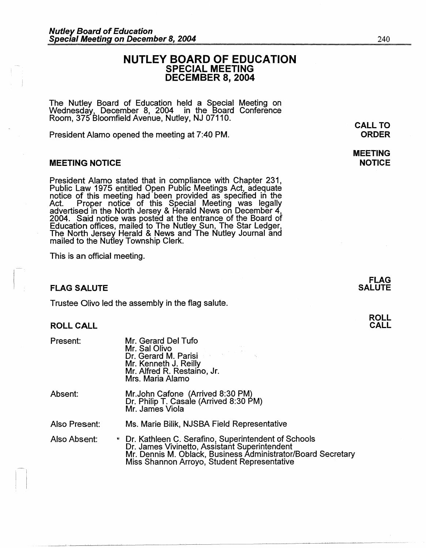# **NUTLEY BOARD OF EDUCATION SPECIAL MEETING DECEMBER 8, 2004**

The Nutley Board of Education held a Special Meeting on Wednesday, December 8, 2004 in the Board Conference Room, 375 Bloomfield Avenue, Nutley, NJ 07110.

President Alamo opened the meeting at 7:40 PM.

### **MEETING NOTICE**

President Alamo stated that in compliance with Chapter 231, Public Law 1975 entitled Open Pubhc Meetings Act, adequate notice of this meeting had been provided as specified in the Act. Proper notice of this Special Meeting was legally advertised in the North Jersey & Herald News on December 4, 2004. Said notice was posted at the entrance of the Board of Education offices, mailed to The Nutley Sun, The Star Ledger, The North Jersey Herald & News and The Nutley Journal and mailed to the Nutley Township Clerk.

This is an official meeting.

### **FLAG SALUTE**

Trustee Olivo led the assembly in the flag salute.

### **ROLL CALL**

 $\mathbf{I}$ 

| Present:      | Mr. Gerard Del Tufo<br>Mr. Sal Olivo<br>Dr. Gerard M. Parisi<br>Mr. Kenneth J. Reilly<br>Mr. Alfred R. Restaino, Jr.<br>Mrs. Maria Alamo                                                                              |
|---------------|-----------------------------------------------------------------------------------------------------------------------------------------------------------------------------------------------------------------------|
| Absent:       | Mr.John Cafone (Arrived 8:30 PM)<br>Dr. Philip T. Casale (Arrived 8:30 PM)<br>Mr. James Viola                                                                                                                         |
| Also Present: | Ms. Marie Bilik, NJSBA Field Representative                                                                                                                                                                           |
| Also Absent:  | • Dr. Kathleen C. Serafino, Superintendent of Schools<br>Dr. James Vivinetto, Assistant Superintendent<br>Mr. Dennis M. Oblack, Business Administrator/Board Secretary<br>Miss Shannon Arroyo, Student Representative |

**CALL TO ORDER** 

**MEETING NOTICE** 

> **FLAG SALUTE**